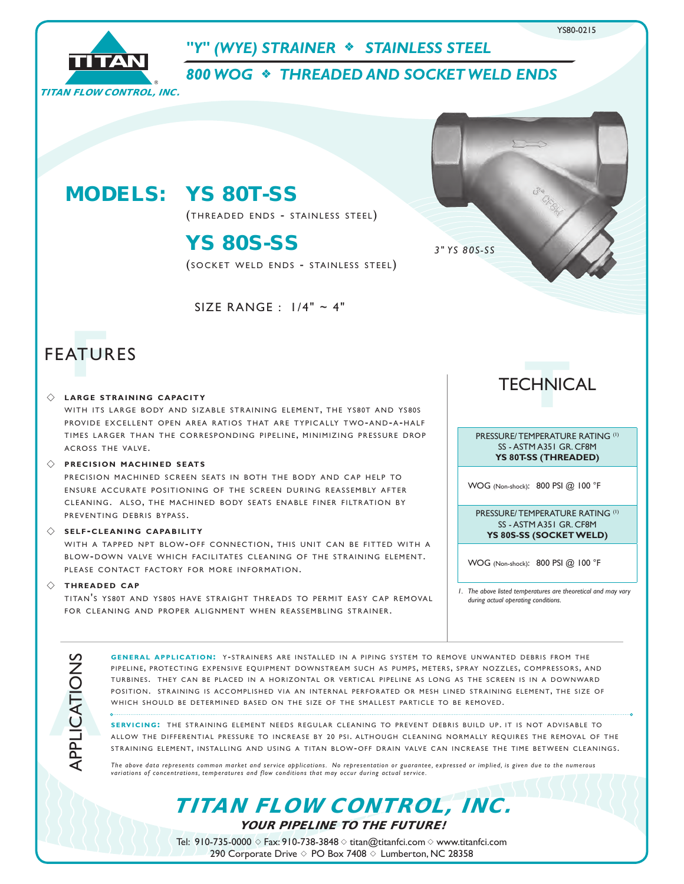

SIZE RANGE : 1/4" ~ 4"

# **FEATURES**

### $\diamondsuit$  LARGE STRAINING CAPACITY

WITH ITS LARGE BODY AND SIZABLE STRAINING ELEMENT, THE YS80T AND YS80S PROVIDE EXCELLENT OPEN AREA RATIOS THAT ARE TYPICALLY TWO-AND-A-HALF TIMES LARGER THAN THE CORRESPONDING PIPELINE, MINIMIZING PRESSURE DROP ACROSS THE VALVE.

#### $\Diamond$  **precision machined seats**

PRECISION MACHINED SCREEN SEATS IN BOTH THE BODY AND CAP HELP TO ENSURE ACCURATE POSITIONING OF THE SCREEN DURING REASSEMBLY AFTER CLEANING. ALSO, THE MACHINED BODY SEATS ENABLE FINER FILTRATION BY PREVENTING DEBRIS BYPASS.

#### $\Diamond$  **SELF-CLEANING CAPABILITY**

WITH A TAPPED NPT BLOW-OFF CONNECTION, THIS UNIT CAN BE FITTED WITH A BLOW-DOWN VALVE WHICH FACILITATES CLEANING OF THE STRAINING ELEMENT. PLEASE CONTACT FACTORY FOR MORE INFORMATION.

#### $\diamondsuit$  **THREADED** CAP

**A**APPLICATIONS

TITAN'S YS80T AND YS80S HAVE STRAIGHT THREADS TO PERMIT EASY CAP REMOVAL FOR CLEANING AND PROPER ALIGNMENT WHEN REASSEMBLING STRAINER.

TECHNICAL **T**

PRESSURE/ TEMPERATURE RATING (1) SS - ASTM A351 GR. CF8M **YS 80T-SS (THREADED)**

WOG (Non-shock): 800 PSI @ 100 °F

PRESSURE/ TEMPERATURE RATING (1) SS - ASTM A351 GR. CF8M **YS 80S-SS (SOCKET WELD)**

WOG (Non-shock): 800 PSI @ 100 °F

*1. The above listed temperatures are theoretical and may vary during actual operating conditions.*

GENERAL APPLICATION: Y-STRAINERS ARE INSTALLED IN A PIPING SYSTEM TO REMOVE UNWANTED DEBRIS FROM THE PIPELINE, PROTECTING EXPENSIVE EQUIPMENT DOWNSTREAM SUCH AS PUMPS, METERS, SPRAY NOZZLES, COMPRESSORS, AND TURBINES. THEY CAN BE PLACED IN A HORIZONTAL OR VERTICAL PIPELINE AS LONG AS THE SCREEN IS IN A DOWNWARD POSITION. STRAINING IS ACCOMPLISHED VIA AN INTERNAL PERFORATED OR MESH LINED STRAINING ELEMENT, THE SIZE OF WHICH SHOULD BE DETERMINED BASED ON THE SIZE OF THE SMALLEST PARTICLE TO BE REMOVED.

**SERVICING:** THE STRAINING ELEMENT NEEDS REGULAR CLEANING TO PREVENT DEBRIS BUILD UP. IT IS NOT ADVISABLE TO ALLOW THE DIFFERENTIAL PRESSURE TO INCREASE BY 20 PSI. ALTHOUGH CLEANING NORMALLY REOUIRES THE REMOVAL OF THE STRAINING ELEMENT, INSTALLING AND USING A TITAN BLOW-OFF DRAIN VALVE CAN INCREASE THE TIME BETWEEN CLEANINGS.

*The above data represents common market and service applications. No representation or guarantee, expressed or implied, is given due to the numerous variations of concentrations, temperatures and flow conditions that may occur during actual service.*

TITAN FLOW CONTROL, INC.

YOUR PIPELINE TO THE FUTURE!

Tel: 910-735-0000  $\diamond$  Fax: 910-738-3848  $\diamond$  titan@titanfci.com  $\diamond$  www.titanfci.com 290 Corporate Drive  $\diamond$  PO Box 7408  $\diamond$  Lumberton, NC 28358